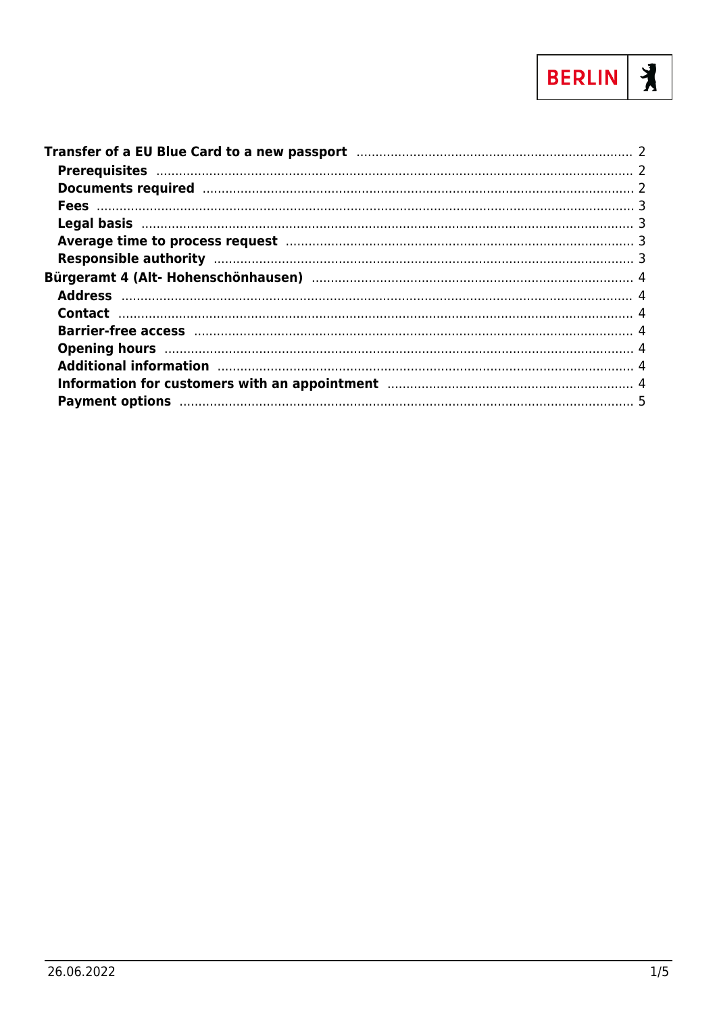

| Information for customers with an appointment manufactured and 4 |  |
|------------------------------------------------------------------|--|
|                                                                  |  |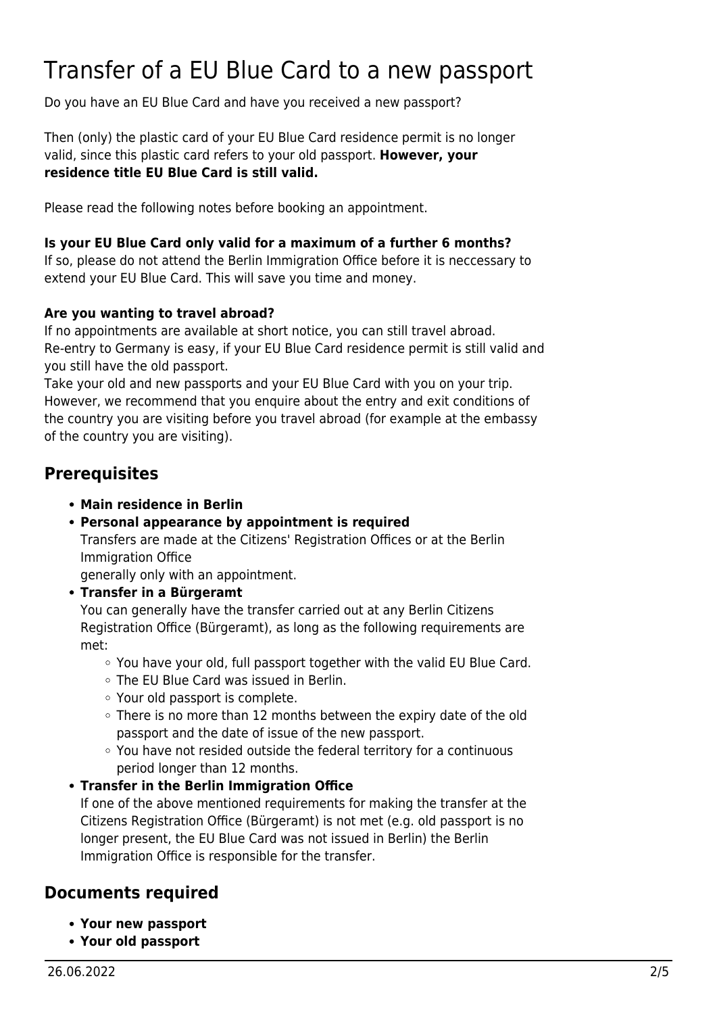# <span id="page-1-0"></span>Transfer of a EU Blue Card to a new passport

Do you have an EU Blue Card and have you received a new passport?

Then (only) the plastic card of your EU Blue Card residence permit is no longer valid, since this plastic card refers to your old passport. **However, your residence title EU Blue Card is still valid.**

Please read the following notes before booking an appointment.

#### **Is your EU Blue Card only valid for a maximum of a further 6 months?**

If so, please do not attend the Berlin Immigration Office before it is neccessary to extend your EU Blue Card. This will save you time and money.

#### **Are you wanting to travel abroad?**

If no appointments are available at short notice, you can still travel abroad. Re-entry to Germany is easy, if your EU Blue Card residence permit is still valid and you still have the old passport.

Take your old and new passports and your EU Blue Card with you on your trip. However, we recommend that you enquire about the entry and exit conditions of the country you are visiting before you travel abroad (for example at the embassy of the country you are visiting).

#### <span id="page-1-1"></span>**Prerequisites**

- **Main residence in Berlin**
- **Personal appearance by appointment is required**

Transfers are made at the Citizens' Registration Offices or at the Berlin Immigration Office

generally only with an appointment.

**Transfer in a Bürgeramt**

You can generally have the transfer carried out at any Berlin Citizens Registration Office (Bürgeramt), as long as the following requirements are met:

- You have your old, full passport together with the valid EU Blue Card.
- The EU Blue Card was issued in Berlin.
- Your old passport is complete.
- $\circ$  There is no more than 12 months between the expiry date of the old passport and the date of issue of the new passport.
- You have not resided outside the federal territory for a continuous period longer than 12 months.
- **Transfer in the Berlin Immigration Office** If one of the above mentioned requirements for making the transfer at the Citizens Registration Office (Bürgeramt) is not met (e.g. old passport is no longer present, the EU Blue Card was not issued in Berlin) the Berlin Immigration Office is responsible for the transfer.

#### <span id="page-1-2"></span>**Documents required**

- **Your new passport**
- **Your old passport**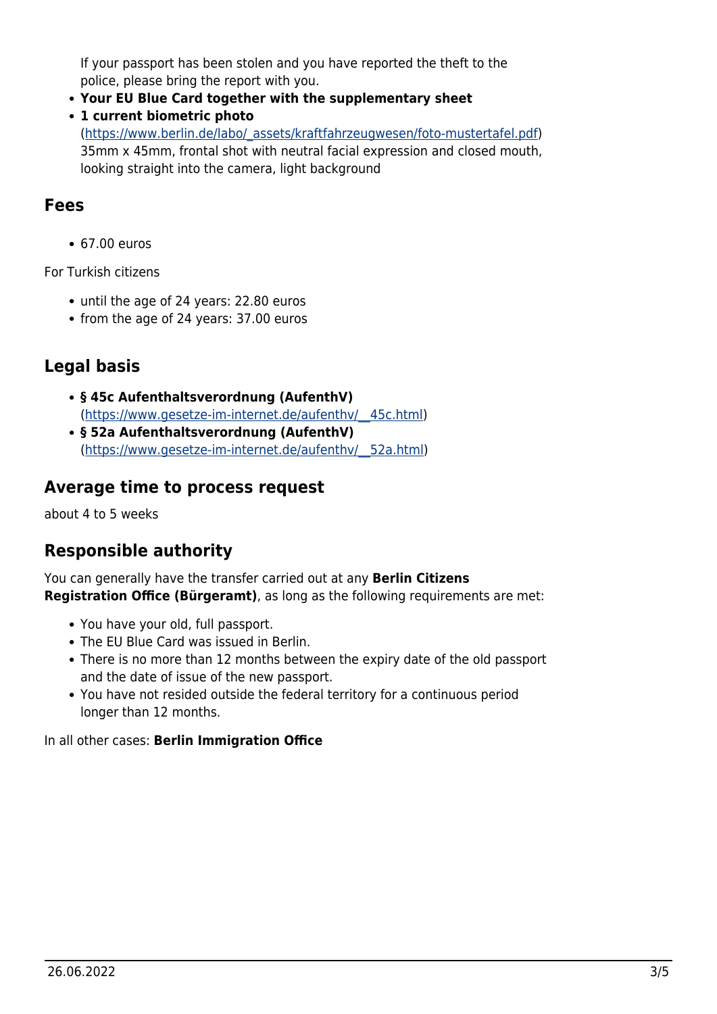If your passport has been stolen and you have reported the theft to the police, please bring the report with you.

- **Your EU Blue Card together with the supplementary sheet**
- **1 current biometric photo**

([https://www.berlin.de/labo/\\_assets/kraftfahrzeugwesen/foto-mustertafel.pdf\)](https://www.berlin.de/labo/_assets/kraftfahrzeugwesen/foto-mustertafel.pdf) 35mm x 45mm, frontal shot with neutral facial expression and closed mouth, looking straight into the camera, light background

#### <span id="page-2-0"></span>**Fees**

67.00 euros

For Turkish citizens

- until the age of 24 years: 22.80 euros
- from the age of 24 years: 37.00 euros

### <span id="page-2-1"></span>**Legal basis**

- **§ 45c Aufenthaltsverordnung (AufenthV)** ([https://www.gesetze-im-internet.de/aufenthv/\\_\\_45c.html](https://www.gesetze-im-internet.de/aufenthv/__45c.html))
- **§ 52a Aufenthaltsverordnung (AufenthV)** ([https://www.gesetze-im-internet.de/aufenthv/\\_\\_52a.html\)](https://www.gesetze-im-internet.de/aufenthv/__52a.html)

#### <span id="page-2-2"></span>**Average time to process request**

about 4 to 5 weeks

#### <span id="page-2-3"></span>**Responsible authority**

You can generally have the transfer carried out at any **Berlin Citizens Registration Office (Bürgeramt)**, as long as the following requirements are met:

- You have your old, full passport.
- The EU Blue Card was issued in Berlin.
- There is no more than 12 months between the expiry date of the old passport and the date of issue of the new passport.
- You have not resided outside the federal territory for a continuous period longer than 12 months.

In all other cases: **Berlin Immigration Office**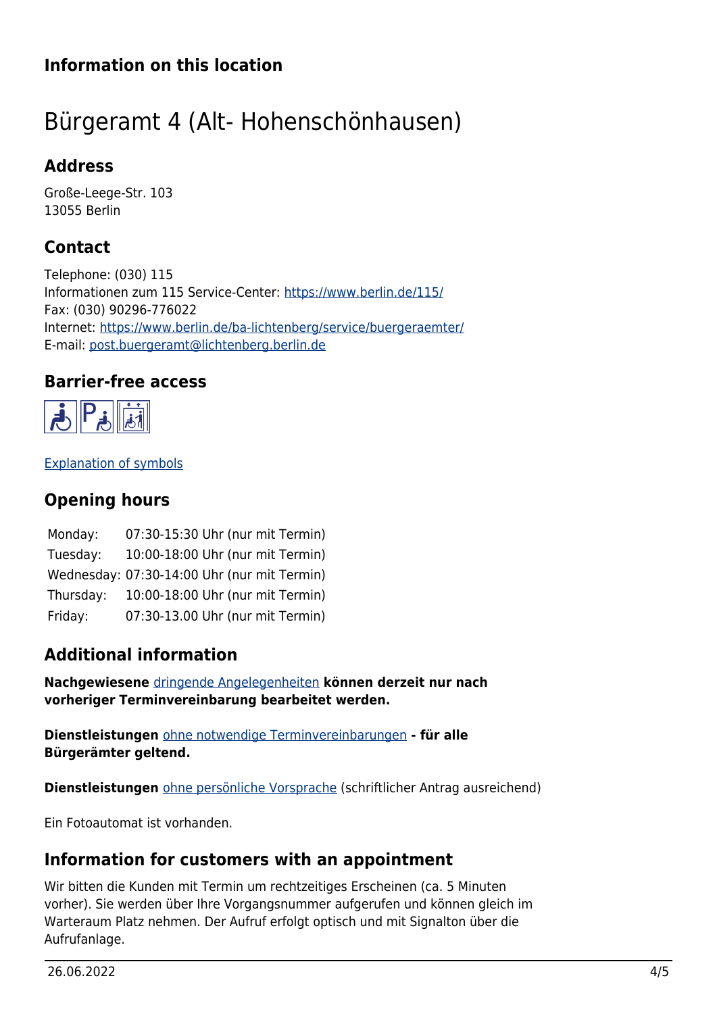## **Information on this location**

# <span id="page-3-0"></span>Bürgeramt 4 (Alt- Hohenschönhausen)

### <span id="page-3-1"></span>**Address**

Große-Leege-Str. 103 13055 Berlin

# <span id="page-3-2"></span>**Contact**

Telephone: (030) 115 Informationen zum 115 Service-Center:<https://www.berlin.de/115/> Fax: (030) 90296-776022 Internet: <https://www.berlin.de/ba-lichtenberg/service/buergeraemter/> E-mail: [post.buergeramt@lichtenberg.berlin.de](mailto:post.buergeramt@lichtenberg.berlin.de)

#### **Barrier-free access**

<span id="page-3-3"></span>

[Explanation of symbols](https://service.berlin.de/hinweise/artikel.2699.php)

# <span id="page-3-4"></span>**Opening hours**

| Monday:   | 07:30-15:30 Uhr (nur mit Termin)            |
|-----------|---------------------------------------------|
| Tuesday:  | 10:00-18:00 Uhr (nur mit Termin)            |
|           | Wednesday: 07:30-14:00 Uhr (nur mit Termin) |
| Thursday: | 10:00-18:00 Uhr (nur mit Termin)            |
| Friday:   | 07:30-13.00 Uhr (nur mit Termin)            |

## <span id="page-3-5"></span>**Additional information**

**Nachgewiesene** [dringende Angelegenheiten](https://www.berlin.de/ba-lichtenberg/service/buergeraemter/artikel.321076.php#notfall) **können derzeit nur nach vorheriger Terminvereinbarung bearbeitet werden.**

**Dienstleistungen** [ohne notwendige Terminvereinbarungen](https://www.berlin.de/ba-lichtenberg/service/buergeraemter/artikel.321076.php#ohnetermin) **- für alle Bürgerämter geltend.**

**Dienstleistungen** [ohne persönliche Vorsprache](https://www.berlin.de/ba-lichtenberg/service/buergeraemter/artikel.321076.php#ohnevorsprache) (schriftlicher Antrag ausreichend)

Ein Fotoautomat ist vorhanden.

#### <span id="page-3-6"></span>**Information for customers with an appointment**

Wir bitten die Kunden mit Termin um rechtzeitiges Erscheinen (ca. 5 Minuten vorher). Sie werden über Ihre Vorgangsnummer aufgerufen und können gleich im Warteraum Platz nehmen. Der Aufruf erfolgt optisch und mit Signalton über die Aufrufanlage.